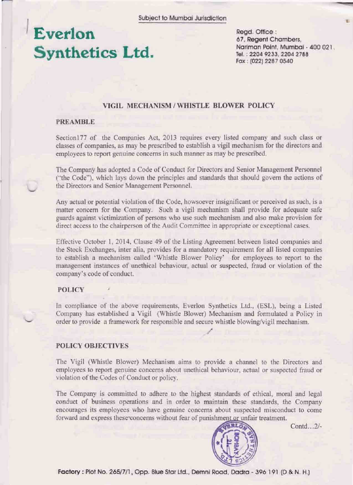# Everlon **Synthetics Ltd.**

Read. Office: 67, Regent Chambers, Nariman Point, Mumbai - 400 021. Tel.: 2204 9233, 2204 2788 Fax: (022) 2287 0540

# VIGIL MECHANISM / WHISTLE BLOWER POLICY

## **PREAMBLE**

Section 177 of the Companies Act, 2013 requires every listed company and such class or classes of companies, as may be prescribed to establish a vigil mechanism for the directors and employees to report genuine concerns in such manner as may be prescribed.

The Company has adopted a Code of Conduct for Directors and Senior Management Personnel ("the Code"), which lays down the principles and standards that should govern the actions of the Directors and Senior Management Personnel.

Any actual or potential violation of the Code, howsoever insignificant or perceived as such, is a matter concern for the Company. Such a vigil mechanism shall provide for adequate safe guards against victimization of persons who use such mechanism and also make provision for direct access to the chairperson of the Audit Committee in appropriate or exceptional cases.

Effective October 1, 2014, Clause 49 of the Listing Agreement between listed companies and the Stock Exchanges, inter alia, provides for a mandatory requirement for all listed companies to establish a mechanism called 'Whistle Blower Policy' for employees to report to the management instances of unethical behaviour, actual or suspected, fraud or violation of the company's code of conduct.

### **POLICY**

In compliance of the above requirements, Everlon Synthetics Ltd., (ESL), being a Listed Company has established a Vigil (Whistle Blower) Mechanism and formulated a Policy in order to provide a framework for responsible and secure whistle blowing/vigil mechanism.

## **POLICY OBJECTIVES**

The Vigil (Whistle Blower) Mechanism aims to provide a channel to the Directors and employees to report genuine concerns about unethical behaviour, actual or suspected fraud or violation of the Codes of Conduct or policy.

The Company is committed to adhere to the highest standards of ethical, moral and legal conduct of business operations and in order to maintain these standards, the Company encourages its employees who have genuine concerns about suspected misconduct to come forward and express these concerns without fear of punishment or unfair treatment.



Contd...2/-

Factory: Plot No. 265/7/1, Opp. Blue Star Ltd., Demni Road, Dadra - 396 191 (D & N. H.)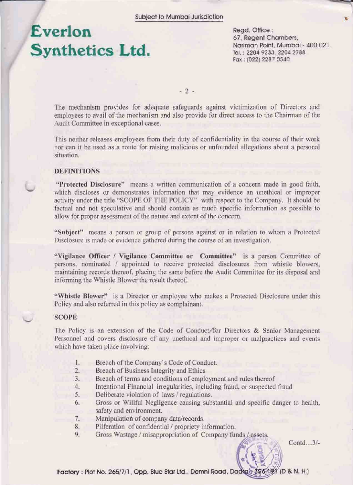# Everlon Synthetics Ltd.

Read. Office: 67, Regent Chambers, Nariman Point, Mumbai - 400 021. Tel.: 2204 9233, 2204 2788 Fax: (022) 2287 0540

 $-2-$ 

The mechanism provides for adequate safeguards against victimization of Directors and employees to avail of the mechanism and also provide for direct access to the Chairman of the Audit Committee in exceptional cases.

This neither releases employees from their duty of confidentiality in the course of their work nor can it be used as a route for raising malicious or unfounded allegations about a personal situation.

## **DEFINITIONS**

"Protected Disclosure" means a written communication of a concern made in good faith. which discloses or demonstrates information that may evidence an unethical or improper activity under the title "SCOPE OF THE POLICY" with respect to the Company. It should be factual and not speculative and should contain as much specific information as possible to allow for proper assessment of the nature and extent of the concern.

"Subject" means a person or group of persons against or in relation to whom a Protected Disclosure is made or evidence gathered during the course of an investigation.

"Vigilance Officer / Vigilance Committee or Committee" is a person Committee of persons, nominated / appointed to receive protected disclosures from whistle blowers, maintaining records thereof, placing the same before the Audit Committee for its disposal and informing the Whistle Blower the result thereof.

"Whistle Blower" is a Director or employee who makes a Protected Disclosure under this Policy and also referred in this policy as complainant.

#### **SCOPE**

The Policy is an extension of the Code of Conduct for Directors & Senior Management Personnel and covers disclosure of any unethical and improper or malpractices and events which have taken place involving:

- $1.$ Breach of the Company's Code of Conduct.
- $2^{\circ}$ Breach of Business Integrity and Ethics
- $\overline{3}$ . Breach of terms and conditions of employment and rules thereof
- $4.$ Intentional Financial irregularities, including fraud, or suspected fraud
- $5.$ Deliberate violation of laws / regulations.
- Gross or Willful Negligence causing substantial and specific danger to health, 6. safety and environment.
- 7. Manipulation of company data/records.
- Pilferation of confidential / propriety information. 8.
- 9. Gross Wastage / misappropriation of Company funds / assets.

Contd...3/-

Factory : Plot No. 265/7/1, Opp. Blue Star Ltd., Demni Road, Dadia's 396 191 (D & N. H.)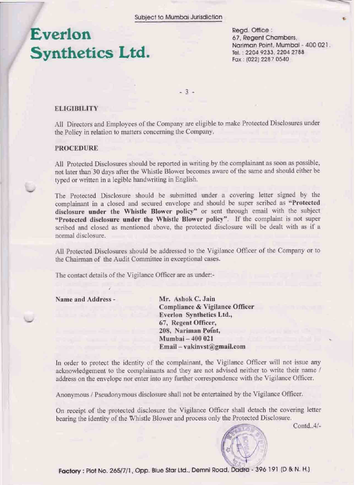# **Everlon Synthetics Ltd.**

Read. Office: 67, Regent Chambers, Nariman Point, Mumbai - 400 021. Tel.: 2204 9233, 2204 2788 Fax: (022) 2287 0540

 $-3 -$ 

### **ELIGIBILITY**

All Directors and Employees of the Company are eligible to make Protected Disclosures under the Policy in relation to matters concerning the Company.

### **PROCEDURE**

All Protected Disclosures should be reported in writing by the complainant as soon as possible, not later than 30 days after the Whistle Blower becomes aware of the same and should either be typed or written in a legible handwriting in English.

The Protected Disclosure should be submitted under a covering letter signed by the complainant in a closed and secured envelope and should be super scribed as "Protected disclosure under the Whistle Blower policy" or sent through email with the subject "Protected disclosure under the Whistle Blower policy". If the complaint is not super scribed and closed as mentioned above, the protected disclosure will be dealt with as if a normal disclosure.

All Protected Disclosures should be addressed to the Vigilance Officer of the Company or to the Chairman of the Audit Committee in exceptional cases.

The contact details of the Vigilance Officer are as under:-

Name and Address -

Mr. Ashok C. Jain **Compliance & Vigilance Officer** Everlon Synthetics Ltd., 67, Regent Officer, 208, Nariman Point, Mumbai - 400 021 Email-vakinvst@gmail.com

In order to protect the identity of the complainant, the Vigilance Officer will not issue any acknowledgement to the complainants and they are not advised neither to write their name / address on the envelope nor enter into any further correspondence with the Vigilance Officer.

Anonymous / Pseudonymous disclosure shall not be entertained by the Vigilance Officer.

On receipt of the protected disclosure the Vigilance Officer shall detach the covering letter bearing the identity of the Whistle Blower and process only the Protected Disclosure.

Contd.  $4/-$ 



Factory: Plot No. 265/7/1, Opp. Blue Star Ltd., Demni Road, Dadra - 396 191 (D & N. H.)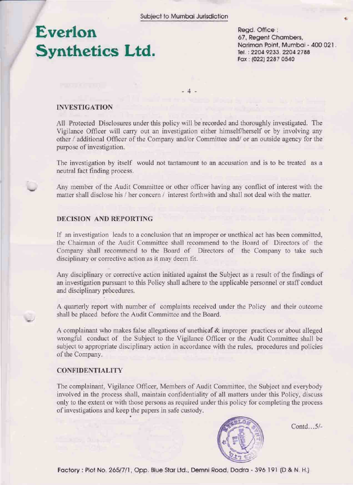# **Everlon Synthetics Ltd.**

Read. Office: 67, Regent Chambers, Nariman Point, Mumbai - 400 021. Tel.: 2204 9233, 2204 2788 Fax: (022) 2287 0540

 $-4.1$ 

### **INVESTIGATION**

All Protected Disclosures under this policy will be recorded and thoroughly investigated. The Vigilance Officer will carry out an investigation either himself/herself or by involving any other / additional Officer of the Company and/or Committee and/ or an outside agency for the purpose of investigation.

The investigation by itself would not tantamount to an accusation and is to be treated as a neutral fact finding process.

Any member of the Audit Committee or other officer having any conflict of interest with the matter shall disclose his / her concern / interest forthwith and shall not deal with the matter.

## DECISION AND REPORTING

If an investigation leads to a conclusion that an improper or unethical act has been committed. the Chairman of the Audit Committee shall recommend to the Board of Directors of the Company shall recommend to the Board of Directors of the Company to take such disciplinary or corrective action as it may deem fit.

Any disciplinary or corrective action initiated against the Subject as a result of the findings of an investigation pursuant to this Policy shall adhere to the applicable personnel or staff conduct and disciplinary procedures.

A quarterly report with number of complaints received under the Policy and their outcome shall be placed before the Audit Committee and the Board.

A complainant who makes false allegations of unethical & improper practices or about alleged wrongful conduct of the Subject to the Vigilance Officer or the Audit Committee shall be subject to appropriate disciplinary action in accordance with the rules, procedures and policies of the Company.

## **CONFIDENTIALITY**

The complainant, Vigilance Officer, Members of Audit Committee, the Subject and everybody involved in the process shall, maintain confidentiality of all matters under this Policy, discuss only to the extent or with those persons as required under this policy for completing the process of investigations and keep the papers in safe custody.



Contd...5/-

Factory : Plot No. 265/7/1, Opp. Blue Star Ltd., Demni Road, Dadra - 396 191 (D & N. H.)